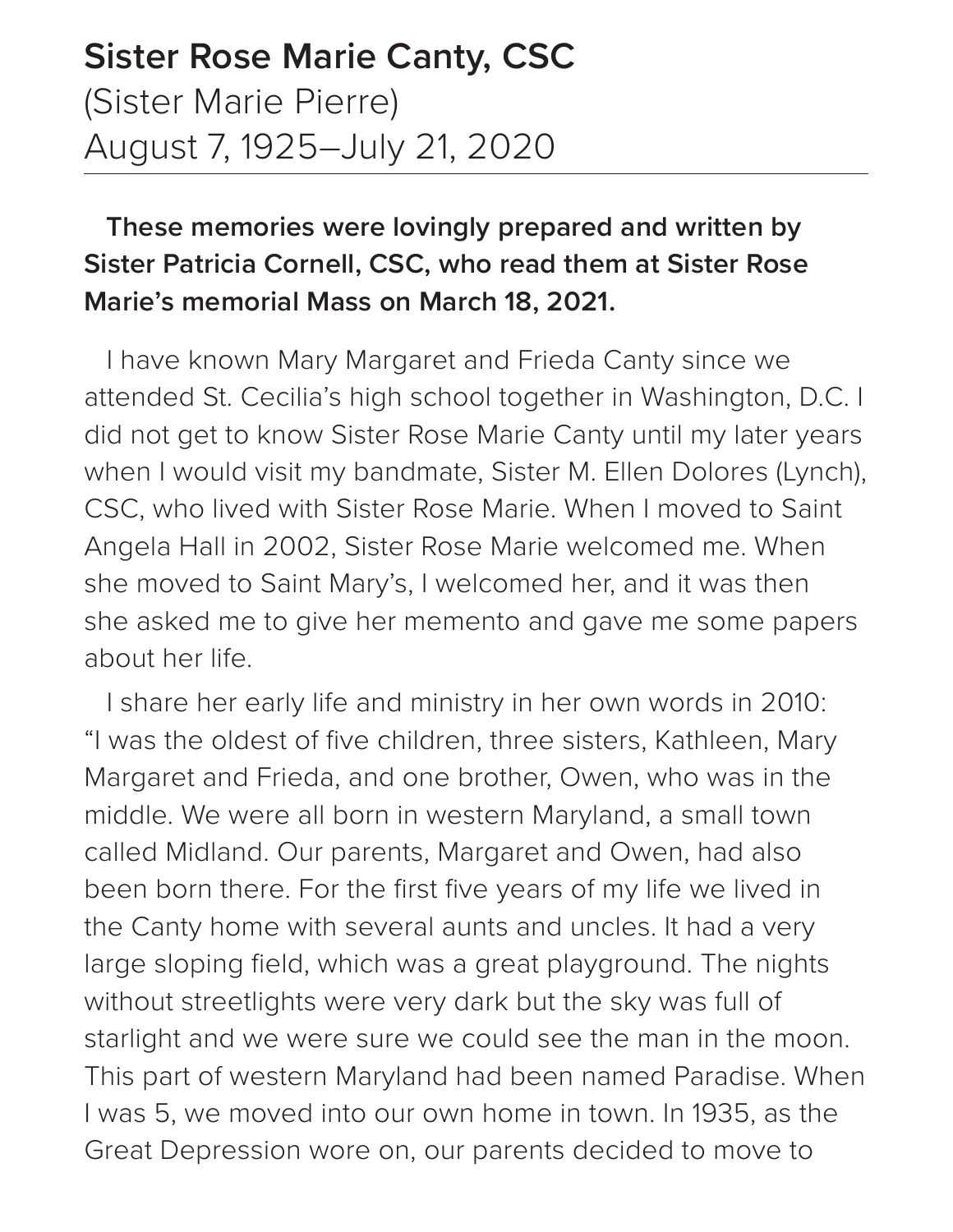## **Sister Rose Marie Canty, CSC** (Sister Marie Pierre) August 7, 1925–July 21, 2020

## **These memories were lovingly prepared and written by Sister Patricia Cornell, CSC, who read them at Sister Rose Marie's memorial Mass on March 18, 2021.**

I have known Mary Margaret and Frieda Canty since we attended St. Cecilia's high school together in Washington, D.C. I did not get to know Sister Rose Marie Canty until my later years when I would visit my bandmate, Sister M. Ellen Dolores (Lynch), CSC, who lived with Sister Rose Marie. When I moved to Saint Angela Hall in 2002, Sister Rose Marie welcomed me. When she moved to Saint Mary's, I welcomed her, and it was then she asked me to give her memento and gave me some papers about her life.

I share her early life and ministry in her own words in 2010: "I was the oldest of five children, three sisters, Kathleen, Mary Margaret and Frieda, and one brother, Owen, who was in the middle. We were all born in western Maryland, a small town called Midland. Our parents, Margaret and Owen, had also been born there. For the first five years of my life we lived in the Canty home with several aunts and uncles. It had a very large sloping field, which was a great playground. The nights without streetlights were very dark but the sky was full of starlight and we were sure we could see the man in the moon. This part of western Maryland had been named Paradise. When I was 5, we moved into our own home in town. In 1935, as the Great Depression wore on, our parents decided to move to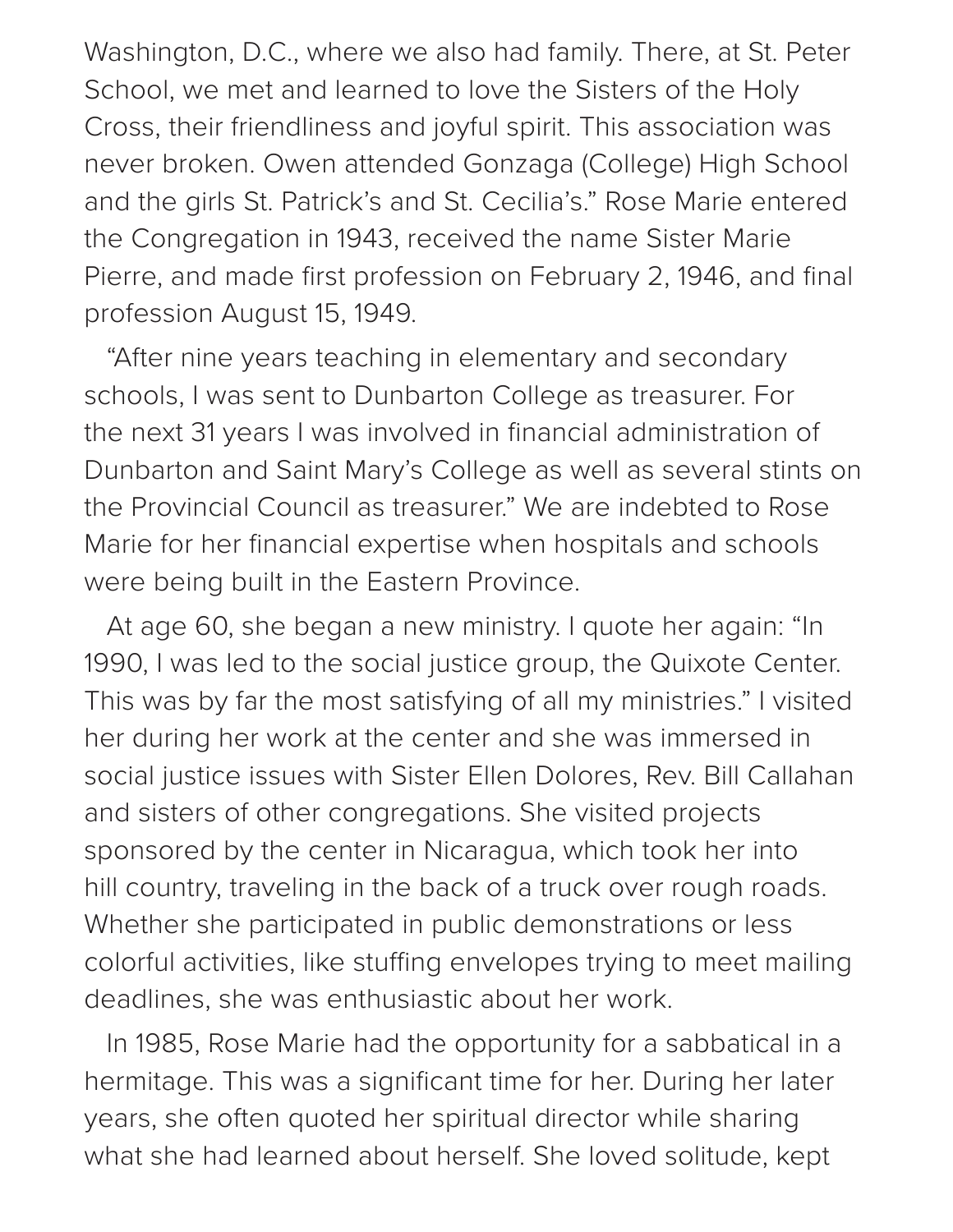Washington, D.C., where we also had family. There, at St. Peter School, we met and learned to love the Sisters of the Holy Cross, their friendliness and joyful spirit. This association was never broken. Owen attended Gonzaga (College) High School and the girls St. Patrick's and St. Cecilia's." Rose Marie entered the Congregation in 1943, received the name Sister Marie Pierre, and made first profession on February 2, 1946, and final profession August 15, 1949.

"After nine years teaching in elementary and secondary schools, I was sent to Dunbarton College as treasurer. For the next 31 years I was involved in financial administration of Dunbarton and Saint Mary's College as well as several stints on the Provincial Council as treasurer." We are indebted to Rose Marie for her financial expertise when hospitals and schools were being built in the Eastern Province.

At age 60, she began a new ministry. I quote her again: "In 1990, I was led to the social justice group, the Quixote Center. This was by far the most satisfying of all my ministries." I visited her during her work at the center and she was immersed in social justice issues with Sister Ellen Dolores, Rev. Bill Callahan and sisters of other congregations. She visited projects sponsored by the center in Nicaragua, which took her into hill country, traveling in the back of a truck over rough roads. Whether she participated in public demonstrations or less colorful activities, like stuffing envelopes trying to meet mailing deadlines, she was enthusiastic about her work.

In 1985, Rose Marie had the opportunity for a sabbatical in a hermitage. This was a significant time for her. During her later years, she often quoted her spiritual director while sharing what she had learned about herself. She loved solitude, kept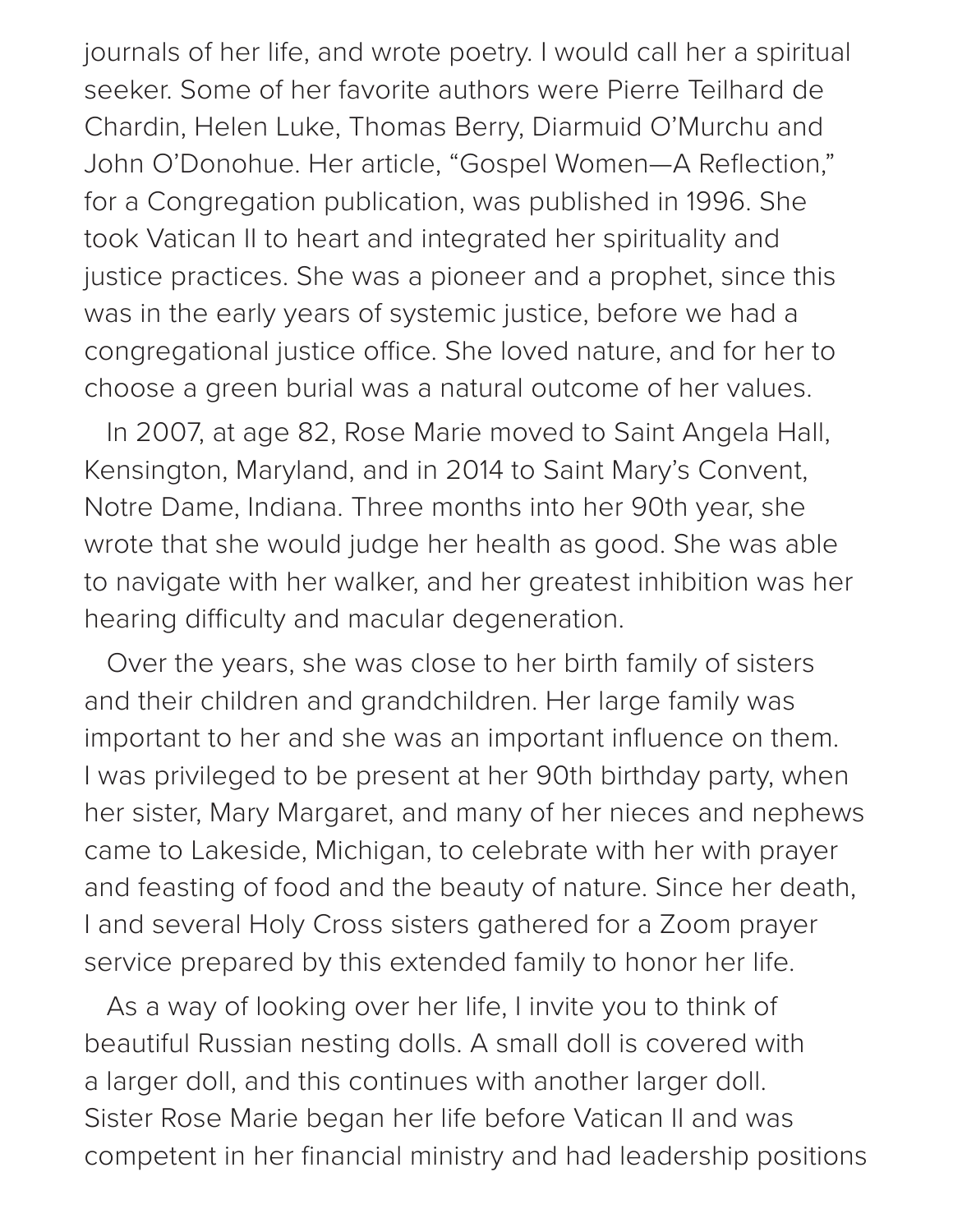journals of her life, and wrote poetry. I would call her a spiritual seeker. Some of her favorite authors were Pierre Teilhard de Chardin, Helen Luke, Thomas Berry, Diarmuid O'Murchu and John O'Donohue. Her article, "Gospel Women—A Reflection," for a Congregation publication, was published in 1996. She took Vatican II to heart and integrated her spirituality and justice practices. She was a pioneer and a prophet, since this was in the early years of systemic justice, before we had a congregational justice office. She loved nature, and for her to choose a green burial was a natural outcome of her values.

In 2007, at age 82, Rose Marie moved to Saint Angela Hall, Kensington, Maryland, and in 2014 to Saint Mary's Convent, Notre Dame, Indiana. Three months into her 90th year, she wrote that she would judge her health as good. She was able to navigate with her walker, and her greatest inhibition was her hearing difficulty and macular degeneration.

Over the years, she was close to her birth family of sisters and their children and grandchildren. Her large family was important to her and she was an important influence on them. I was privileged to be present at her 90th birthday party, when her sister, Mary Margaret, and many of her nieces and nephews came to Lakeside, Michigan, to celebrate with her with prayer and feasting of food and the beauty of nature. Since her death, I and several Holy Cross sisters gathered for a Zoom prayer service prepared by this extended family to honor her life.

As a way of looking over her life, I invite you to think of beautiful Russian nesting dolls. A small doll is covered with a larger doll, and this continues with another larger doll. Sister Rose Marie began her life before Vatican II and was competent in her financial ministry and had leadership positions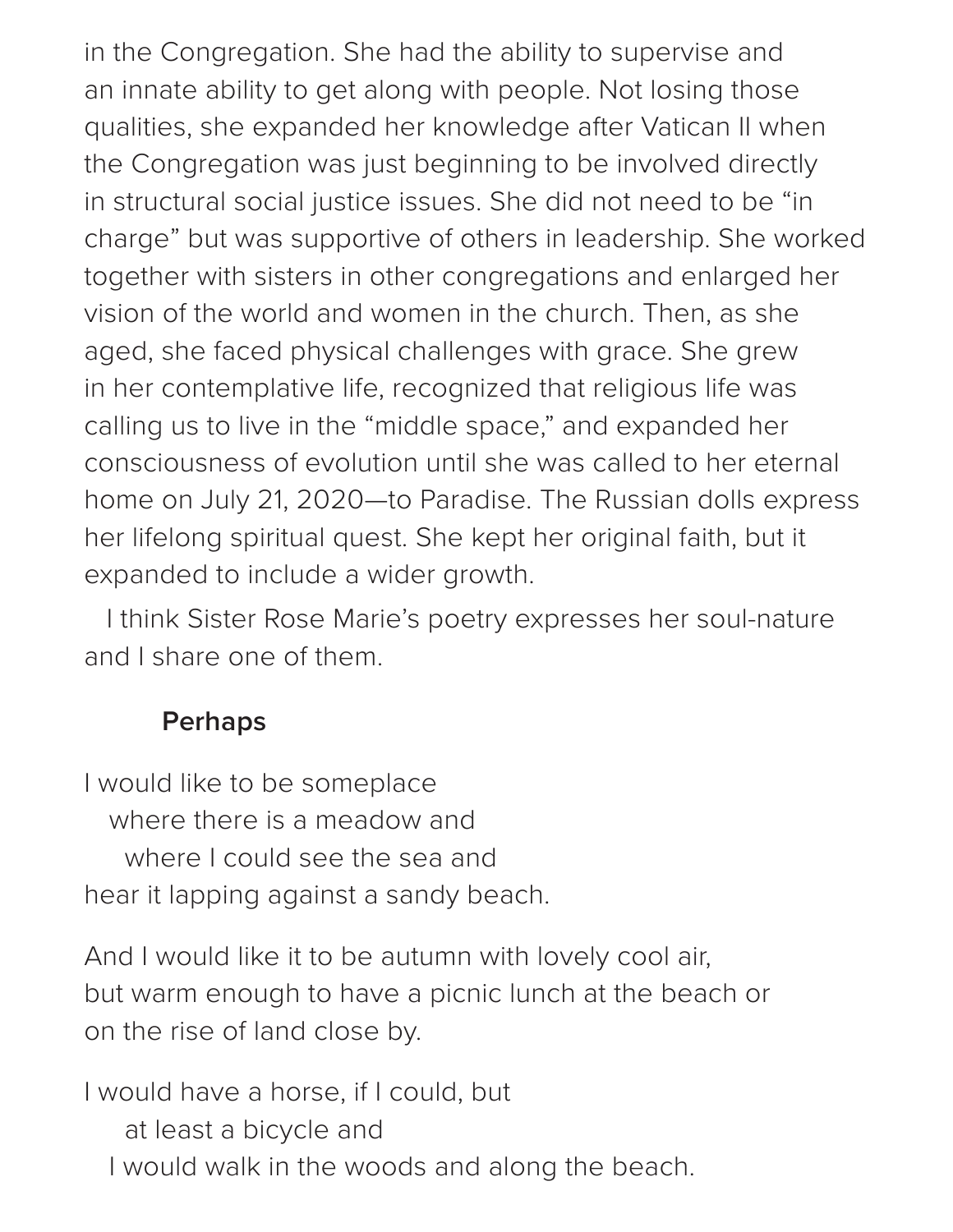in the Congregation. She had the ability to supervise and an innate ability to get along with people. Not losing those qualities, she expanded her knowledge after Vatican II when the Congregation was just beginning to be involved directly in structural social justice issues. She did not need to be "in charge" but was supportive of others in leadership. She worked together with sisters in other congregations and enlarged her vision of the world and women in the church. Then, as she aged, she faced physical challenges with grace. She grew in her contemplative life, recognized that religious life was calling us to live in the "middle space," and expanded her consciousness of evolution until she was called to her eternal home on July 21, 2020—to Paradise. The Russian dolls express her lifelong spiritual quest. She kept her original faith, but it expanded to include a wider growth.

I think Sister Rose Marie's poetry expresses her soul-nature and I share one of them.

## **Perhaps**

I would like to be someplace where there is a meadow and where I could see the sea and hear it lapping against a sandy beach.

And I would like it to be autumn with lovely cool air, but warm enough to have a picnic lunch at the beach or on the rise of land close by.

I would have a horse, if I could, but at least a bicycle and I would walk in the woods and along the beach.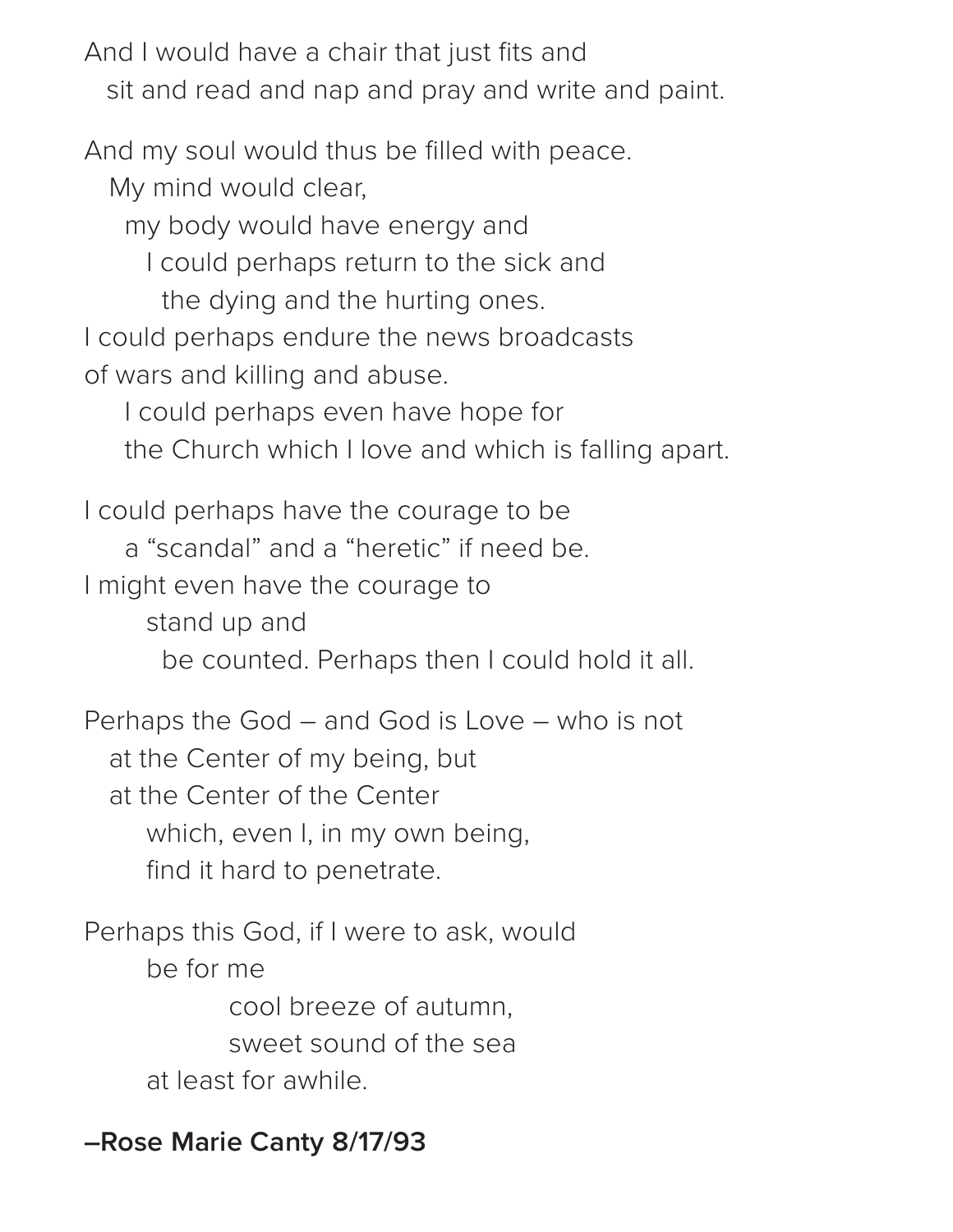And I would have a chair that just fits and sit and read and nap and pray and write and paint.

And my soul would thus be filled with peace.

My mind would clear,

my body would have energy and

I could perhaps return to the sick and

the dying and the hurting ones.

I could perhaps endure the news broadcasts of wars and killing and abuse.

I could perhaps even have hope for

the Church which I love and which is falling apart.

I could perhaps have the courage to be a "scandal" and a "heretic" if need be. I might even have the courage to stand up and be counted. Perhaps then I could hold it all.

Perhaps the God – and God is Love – who is not at the Center of my being, but at the Center of the Center which, even I, in my own being, find it hard to penetrate.

Perhaps this God, if I were to ask, would be for me cool breeze of autumn, sweet sound of the sea at least for awhile.

**–Rose Marie Canty 8/17/93**